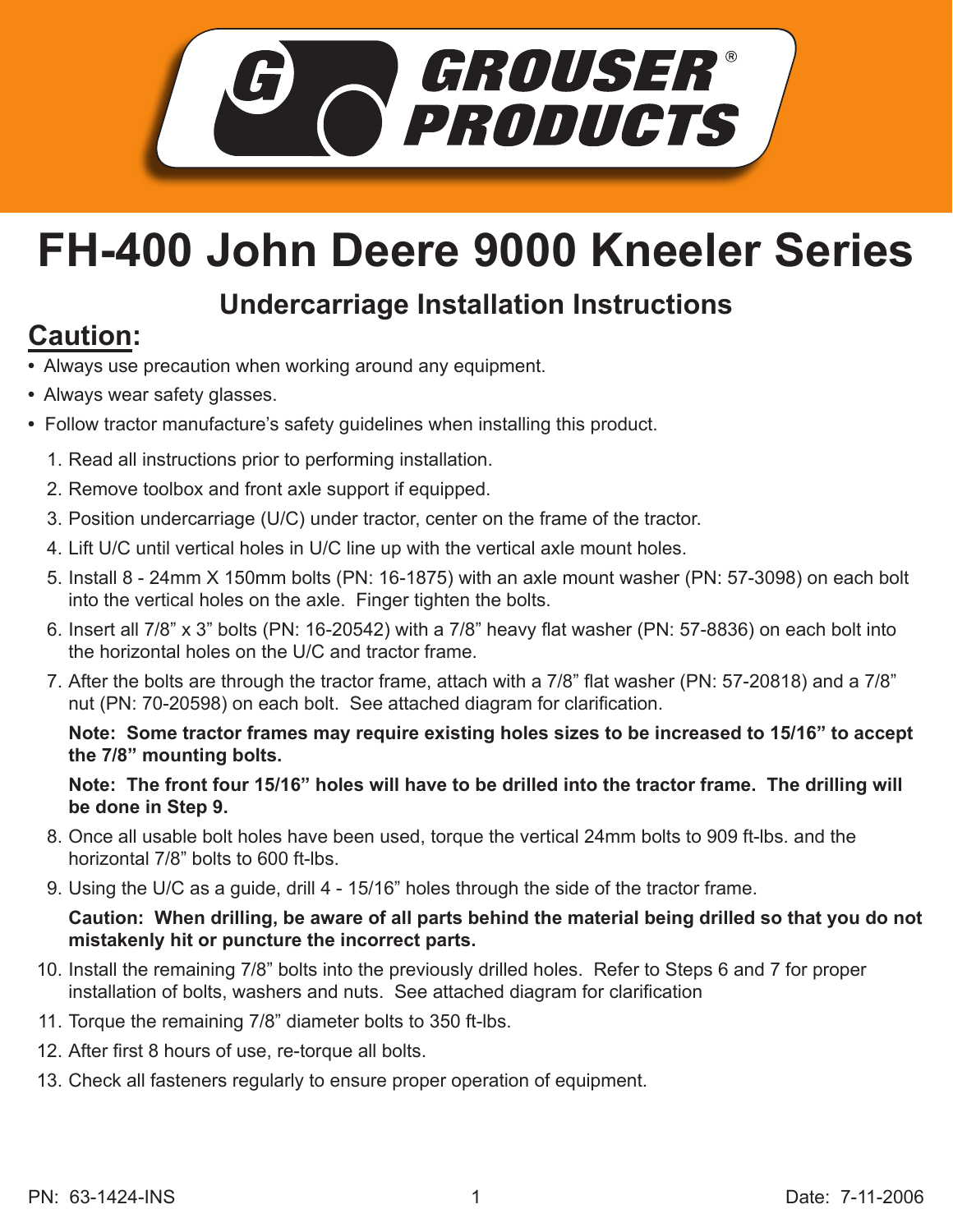

## **FH-400 John Deere 9000 Kneeler Series**

## **Undercarriage Installation Instructions**

## **Caution:**

- Always use precaution when working around any equipment.
- Always wear safety glasses.
- Follow tractor manufacture's safety guidelines when installing this product.
	- 1. Read all instructions prior to performing installation.
	- 2. Remove toolbox and front axle support if equipped.
	- 3. Position undercarriage (U/C) under tractor, center on the frame of the tractor.
	- 4. Lift U/C until vertical holes in U/C line up with the vertical axle mount holes.
	- 5. Install 8 24mm X 150mm bolts (PN: 16-1875) with an axle mount washer (PN: 57-3098) on each bolt into the vertical holes on the axle. Finger tighten the bolts.
	- 6. Insert all 7/8" x 3" bolts (PN: 16-20542) with a 7/8" heavy flat washer (PN: 57-8836) on each bolt into the horizontal holes on the U/C and tractor frame.
	- 7. After the bolts are through the tractor frame, attach with a 7/8" flat washer (PN: 57-20818) and a 7/8" nut (PN: 70-20598) on each bolt. See attached diagram for clarification.

**Note: Some tractor frames may require existing holes sizes to be increased to 15/16" to accept the 7/8" mounting bolts.**

**Note: The front four 15/16" holes will have to be drilled into the tractor frame. The drilling will be done in Step 9.**

- 8. Once all usable bolt holes have been used, torque the vertical 24mm bolts to 909 ft-lbs. and the horizontal 7/8" bolts to 600 ft-lbs.
- 9. Using the U/C as a guide, drill 4 15/16" holes through the side of the tractor frame.

## **Caution: When drilling, be aware of all parts behind the material being drilled so that you do not mistakenly hit or puncture the incorrect parts.**

- 10. Install the remaining 7/8" bolts into the previously drilled holes. Refer to Steps 6 and 7 for proper installation of bolts, washers and nuts. See attached diagram for clarification
- 11. Torque the remaining 7/8" diameter bolts to 350 ft-lbs.
- 12. After first 8 hours of use, re-torque all bolts.
- 13. Check all fasteners regularly to ensure proper operation of equipment.